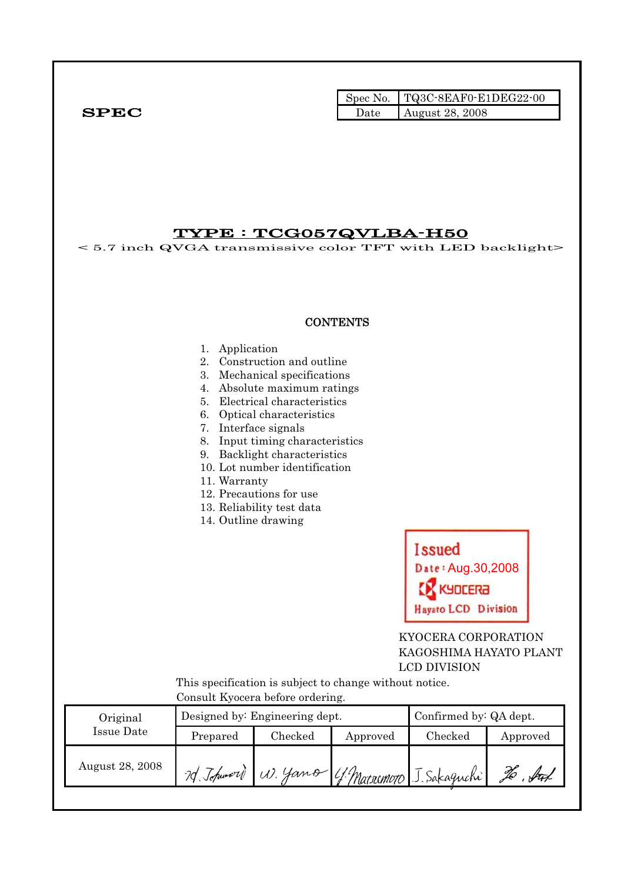|              | Spec No. $TQ3C-8EAF0-E1DEG22-00$ |
|--------------|----------------------------------|
| ${\bf SPEC}$ | Date August 28, 2008             |

## TYPE : TCG057QVLBA-H50

< 5.7 inch QVGA transmissive color TFT with LED backlight>

### **CONTENTS**

#### 1. Application

- 2. Construction and outline
- 3. Mechanical specifications
- 4. Absolute maximum ratings
- 5. Electrical characteristics
- 6. Optical characteristics
- 7. Interface signals
- 8. Input timing characteristics
- 9. Backlight characteristics
- 10. Lot number identification
- 11. Warranty
- 12. Precautions for use
- 13. Reliability test data
- 14. Outline drawing



 KYOCERA CORPORATION KAGOSHIMA HAYATO PLANT LCD DIVISION

 This specification is subject to change without notice. Consult Kyocera before ordering.

| Original        |            | Designed by: Engineering dept. | Confirmed by: QA dept. |                                    |          |
|-----------------|------------|--------------------------------|------------------------|------------------------------------|----------|
| Issue Date      | Prepared   | Checked                        | Approved               | Checked                            | Approved |
| August 28, 2008 | 2d Johnson |                                |                        | W. Yano 4. Matsumoto J. Sakaguchi! |          |
|                 |            |                                |                        |                                    |          |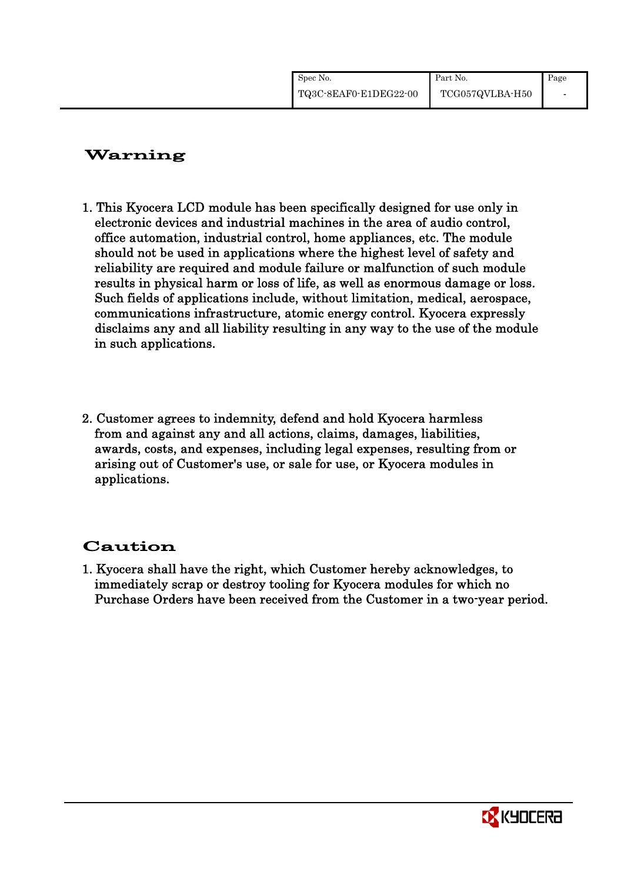| Spec No.              | Part No.        | Page |
|-----------------------|-----------------|------|
| TQ3C-8EAF0-E1DEG22-00 | TCG057QVLBA-H50 |      |

# Warning

- 1. This Kyocera LCD module has been specifically designed for use only in electronic devices and industrial machines in the area of audio control, office automation, industrial control, home appliances, etc. The module should not be used in applications where the highest level of safety and reliability are required and module failure or malfunction of such module results in physical harm or loss of life, as well as enormous damage or loss. Such fields of applications include, without limitation, medical, aerospace, communications infrastructure, atomic energy control. Kyocera expressly disclaims any and all liability resulting in any way to the use of the module in such applications.
- 2. Customer agrees to indemnity, defend and hold Kyocera harmless from and against any and all actions, claims, damages, liabilities, awards, costs, and expenses, including legal expenses, resulting from or arising out of Customer's use, or sale for use, or Kyocera modules in applications.

# Caution

1. Kyocera shall have the right, which Customer hereby acknowledges, to immediately scrap or destroy tooling for Kyocera modules for which no Purchase Orders have been received from the Customer in a two-year period.

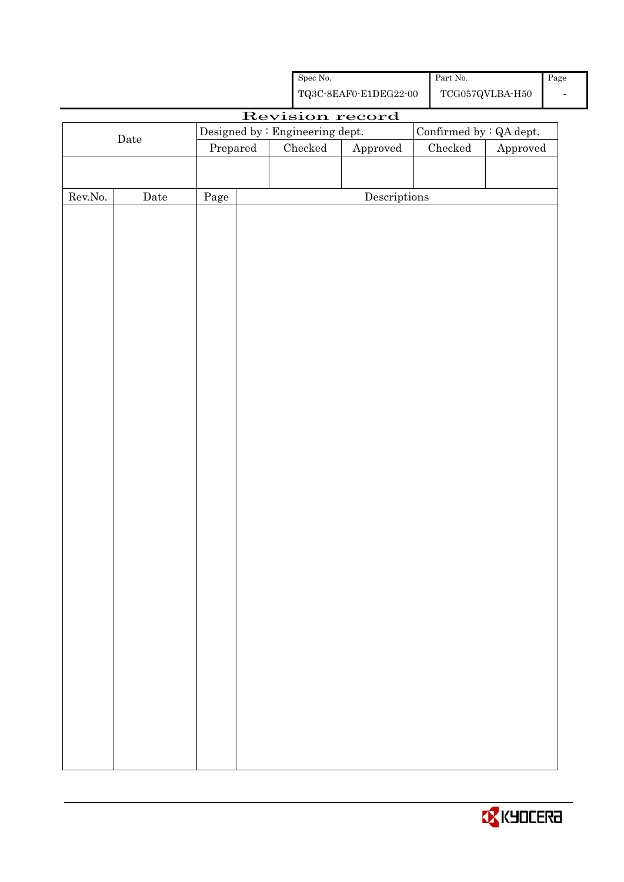|                  |                                 |            |                                                    | ${\rm Spec}$ No. |                                      | Part No.                |                                         | Page |
|------------------|---------------------------------|------------|----------------------------------------------------|------------------|--------------------------------------|-------------------------|-----------------------------------------|------|
|                  |                                 |            | ${\bf TQ3C\text{-}8EAF0\text{-}E1DEG22\text{-}00}$ |                  |                                      |                         | $\operatorname{TCG057QVLBA\text{-}H50}$ |      |
|                  |                                 |            |                                                    |                  | Revision record                      |                         |                                         |      |
|                  | Designed by : Engineering dept. |            |                                                    |                  |                                      | Confirmed by : QA dept. |                                         |      |
|                  | Date                            | Prepared   |                                                    | $\rm Checked$    | Approved                             | ${\it Checked}$         | Approved                                |      |
|                  |                                 |            |                                                    |                  |                                      |                         |                                         |      |
|                  |                                 |            |                                                    |                  |                                      |                         |                                         |      |
| ${\rm Rev. No.}$ | Date                            | $\rm Page$ |                                                    |                  | $\label{eq:2} \textbf{Descriptions}$ |                         |                                         |      |
|                  |                                 |            |                                                    |                  |                                      |                         |                                         |      |
|                  |                                 |            |                                                    |                  |                                      |                         |                                         |      |
|                  |                                 |            |                                                    |                  |                                      |                         |                                         |      |
|                  |                                 |            |                                                    |                  |                                      |                         |                                         |      |
|                  |                                 |            |                                                    |                  |                                      |                         |                                         |      |
|                  |                                 |            |                                                    |                  |                                      |                         |                                         |      |
|                  |                                 |            |                                                    |                  |                                      |                         |                                         |      |
|                  |                                 |            |                                                    |                  |                                      |                         |                                         |      |
|                  |                                 |            |                                                    |                  |                                      |                         |                                         |      |
|                  |                                 |            |                                                    |                  |                                      |                         |                                         |      |
|                  |                                 |            |                                                    |                  |                                      |                         |                                         |      |
|                  |                                 |            |                                                    |                  |                                      |                         |                                         |      |
|                  |                                 |            |                                                    |                  |                                      |                         |                                         |      |
|                  |                                 |            |                                                    |                  |                                      |                         |                                         |      |
|                  |                                 |            |                                                    |                  |                                      |                         |                                         |      |
|                  |                                 |            |                                                    |                  |                                      |                         |                                         |      |
|                  |                                 |            |                                                    |                  |                                      |                         |                                         |      |
|                  |                                 |            |                                                    |                  |                                      |                         |                                         |      |
|                  |                                 |            |                                                    |                  |                                      |                         |                                         |      |
|                  |                                 |            |                                                    |                  |                                      |                         |                                         |      |
|                  |                                 |            |                                                    |                  |                                      |                         |                                         |      |
|                  |                                 |            |                                                    |                  |                                      |                         |                                         |      |
|                  |                                 |            |                                                    |                  |                                      |                         |                                         |      |
|                  |                                 |            |                                                    |                  |                                      |                         |                                         |      |
|                  |                                 |            |                                                    |                  |                                      |                         |                                         |      |
|                  |                                 |            |                                                    |                  |                                      |                         |                                         |      |
|                  |                                 |            |                                                    |                  |                                      |                         |                                         |      |
|                  |                                 |            |                                                    |                  |                                      |                         |                                         |      |
|                  |                                 |            |                                                    |                  |                                      |                         |                                         |      |
|                  |                                 |            |                                                    |                  |                                      |                         |                                         |      |
|                  |                                 |            |                                                    |                  |                                      |                         |                                         |      |
|                  |                                 |            |                                                    |                  |                                      |                         |                                         |      |
|                  |                                 |            |                                                    |                  |                                      |                         |                                         |      |
|                  |                                 |            |                                                    |                  |                                      |                         |                                         |      |

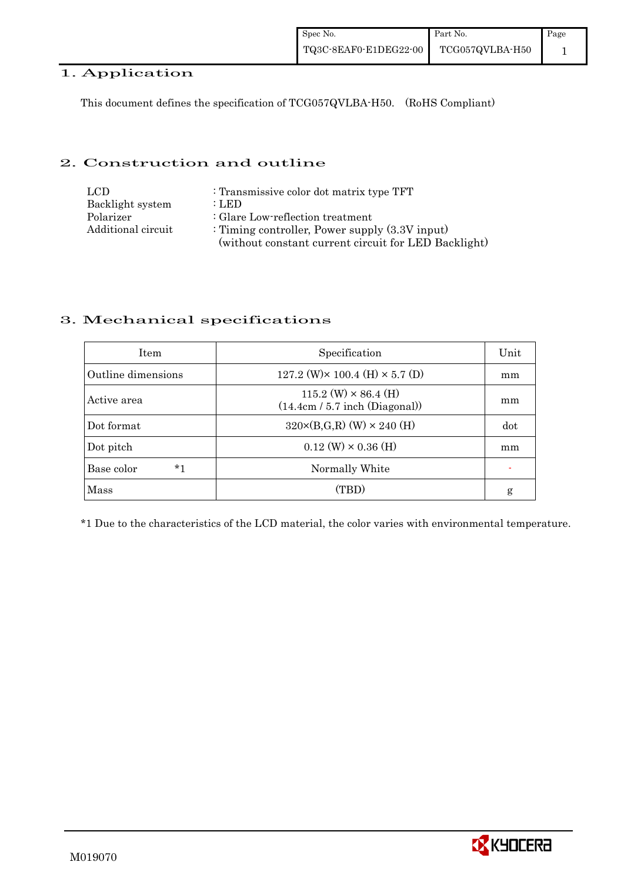## 1. Application

This document defines the specification of TCG057QVLBA-H50. (RoHS Compliant)

### 2. Construction and outline

| LCD.               | : Transmissive color dot matrix type TFT             |
|--------------------|------------------------------------------------------|
| Backlight system   | : LED                                                |
| Polarizer          | : Glare Low-reflection treatment                     |
| Additional circuit | : Timing controller, Power supply $(3.3V)$ input)    |
|                    | (without constant current circuit for LED Backlight) |

## 3. Mechanical specifications

| <b>Item</b>        | Specification                                                   | Unit |
|--------------------|-----------------------------------------------------------------|------|
| Outline dimensions | 127.2 (W) $\times$ 100.4 (H) $\times$ 5.7 (D)                   | mm   |
| Active area        | $115.2$ (W) $\times$ 86.4 (H)<br>(14.4cm / 5.7 inch (Diagonal)) | mm   |
| Dot format         | $320 \times (B,G,R)$ (W) $\times 240$ (H)                       | dot  |
| Dot pitch          | $0.12 \text{ (W)} \times 0.36 \text{ (H)}$                      | mm   |
| $*1$<br>Base color | Normally White                                                  |      |
| Mass               | (TBD)                                                           | g    |

\*1 Due to the characteristics of the LCD material, the color varies with environmental temperature.

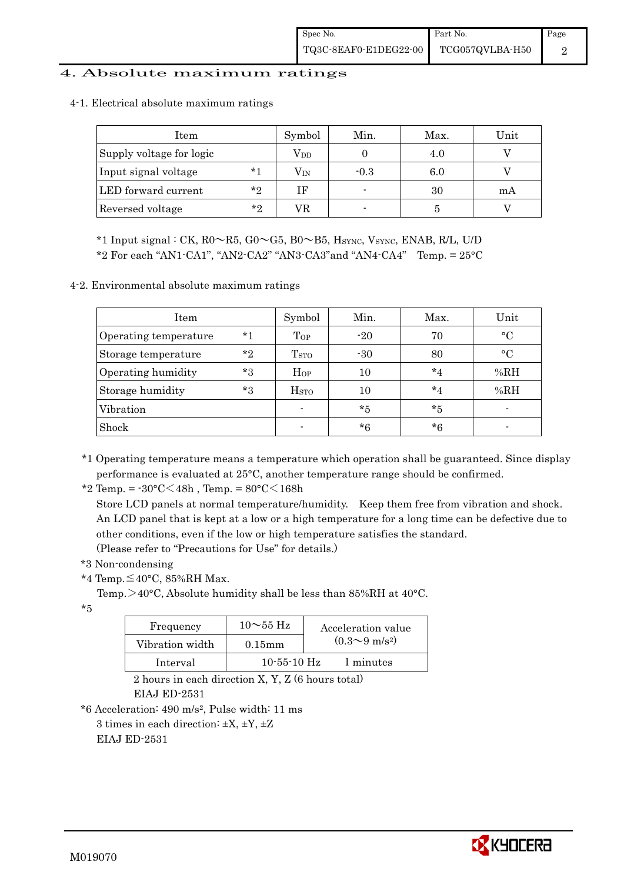### 4. Absolute maximum ratings

| Item                     |         | Symbol       | Min.   | Max. | Unit |
|--------------------------|---------|--------------|--------|------|------|
| Supply voltage for logic |         | $\rm V_{DD}$ |        | 4.0  |      |
| Input signal voltage     | $*1$    | $\rm V_{IN}$ | $-0.3$ | 6.0  |      |
| LED forward current      | $*$ ?   | ΙF           |        | 30   | mA   |
| Reversed voltage         | $*_{2}$ | VR.          |        |      |      |

4-1. Electrical absolute maximum ratings

\*1 Input signal : CK,  $R0 \sim R5$ ,  $G0 \sim G5$ ,  $B0 \sim B5$ ,  $H<sub>SYNC</sub>$ ,  $V<sub>SYNC</sub>$ ,  $ENAB$ ,  $R/L$ ,  $U/D$ 

 $*2$  For each "AN1-CA1", "AN2-CA2" "AN3-CA3" and "AN4-CA4" Temp. =  $25^{\circ}$ C

4-2. Environmental absolute maximum ratings

| Item                  |       | Symbol           | Min.  | Max.    | Unit        |
|-----------------------|-------|------------------|-------|---------|-------------|
| Operating temperature | $*1$  | Top              | $-20$ | 70      | $\circ$ C   |
| Storage temperature   | $*$ ? | T <sub>STO</sub> | $-30$ | 80      | $^{\circ}C$ |
| Operating humidity    | $*3$  | $H_{OP}$         | 10    | $*_{4}$ | %RH         |
| Storage humidity      | $*3$  | H <sub>STO</sub> | 10    | $*_{4}$ | %RH         |
| Vibration             |       |                  | $*5$  | $*5$    |             |
| Shock                 |       |                  | $*6$  | *6      |             |

\*1 Operating temperature means a temperature which operation shall be guaranteed. Since display performance is evaluated at 25°C, another temperature range should be confirmed.

\*2 Temp. =  $-30^{\circ}$ C $<$ 48h, Temp. =  $80^{\circ}$ C $<$ 168h

 Store LCD panels at normal temperature/humidity. Keep them free from vibration and shock. An LCD panel that is kept at a low or a high temperature for a long time can be defective due to other conditions, even if the low or high temperature satisfies the standard. (Please refer to "Precautions for Use" for details.)

\*3 Non-condensing

\*4 Temp.≦40°C, 85%RH Max.

Temp.  $>40^{\circ}$ C, Absolute humidity shall be less than 85%RH at 40 $^{\circ}$ C.

\*5

| Frequency       | $10\sim$ 55 Hz    | Acceleration value           |
|-----------------|-------------------|------------------------------|
| Vibration width | $0.15$ mm         | $(0.3 \sim 9 \text{ m/s}^2)$ |
| Interval        | $10 - 55 - 10$ Hz | 1 minutes                    |

 2 hours in each direction X, Y, Z (6 hours total) EIAJ ED-2531

\*6 Acceleration: 490 m/s2, Pulse width: 11 ms

3 times in each direction:  $\pm X$ ,  $\pm Y$ ,  $\pm Z$ 

EIAJ ED-2531

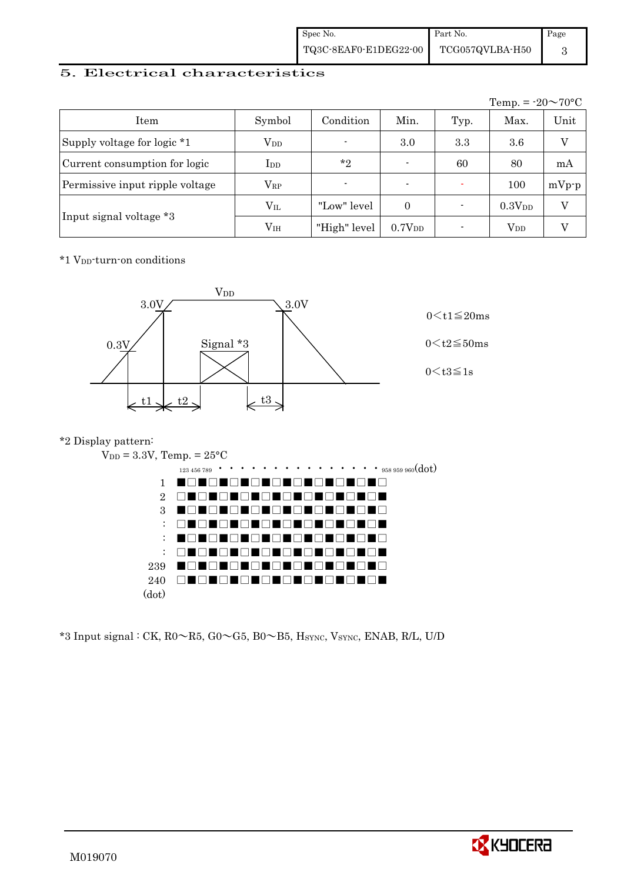| Spec No.              | Part No.        | Page |
|-----------------------|-----------------|------|
| TQ3C-8EAF0-E1DEG22-00 | TCG057QVLBA-H50 |      |

### 5. Electrical characteristics

|                                 |               |                |                          |      | Temp. = $-20 \sim 70$ °C |         |
|---------------------------------|---------------|----------------|--------------------------|------|--------------------------|---------|
| Item                            | Symbol        | Condition      | Min.                     | Typ. | Max.                     | Unit    |
| Supply voltage for logic *1     | $\rm V_{DD}$  | $\blacksquare$ | 3.0                      | 3.3  | 3.6                      | V       |
| Current consumption for logic   | $_{\rm{LDD}}$ | $*_{2}$        | $\blacksquare$           | 60   | 80                       | mA      |
| Permissive input ripple voltage | $\rm V_{RP}$  | $\blacksquare$ | $\overline{\phantom{0}}$ |      | 100                      | $mVp-p$ |
|                                 | $\rm V_{II}$  | "Low" level    | $\Omega$                 |      | 0.3V <sub>DD</sub>       | V       |
| Input signal voltage *3         | $\rm V_{IH}$  | "High" level   | 0.7V <sub>DD</sub>       |      | $\rm V_{DD}$             |         |

\*1 VDD-turn-on conditions



### \*2 Display pattern:



 $*3$  Input signal : CK, R0 $\sim$ R5, G0 $\sim$ G5, B0 $\sim$ B5, H<sub>SYNC</sub>, V<sub>SYNC</sub>, ENAB, R/L, U/D

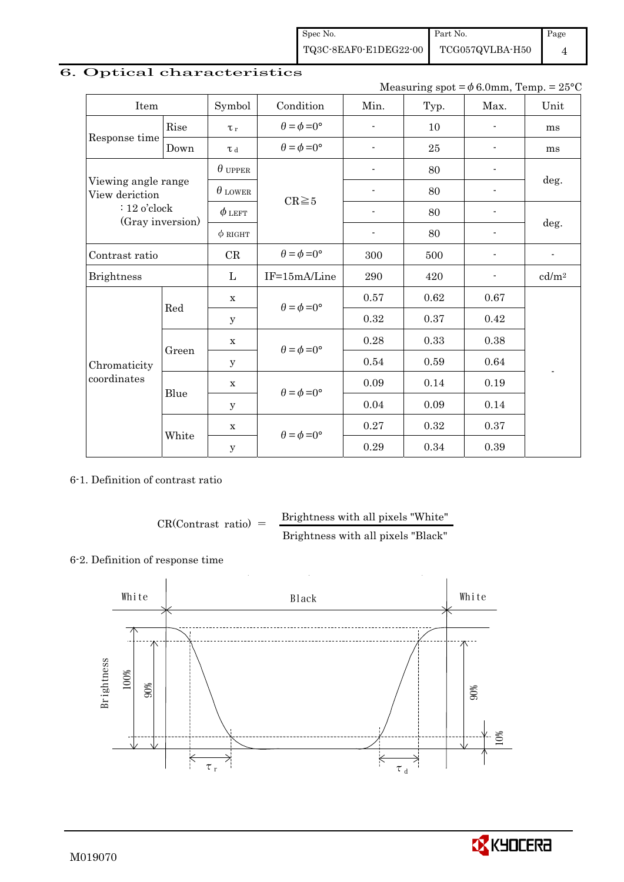Spec No. TQ3C-8EAF0-E1DEG22-00 Part No. TCG057QVLBA-H50

Page

4

# 6. Optical characteristics

Measuring spot =  $\phi$  6.0mm, Temp. = 25°C

| Item                                  |       | Symbol         | Condition                   | Min.                     | Typ. | Max.                     | Unit                     |
|---------------------------------------|-------|----------------|-----------------------------|--------------------------|------|--------------------------|--------------------------|
|                                       | Rise  | $\tau_r$       | $\theta = \phi = 0^{\circ}$ | ٠                        | 10   | $\overline{\phantom{a}}$ | ms                       |
| Response time                         | Down  | T d            | $\theta = \phi = 0^{\circ}$ | $\overline{\phantom{0}}$ | 25   |                          | ms                       |
|                                       |       | $\theta$ upper |                             |                          | 80   |                          |                          |
| Viewing angle range<br>View deriction |       | $\theta$ lower | $CR \ge 5$                  |                          | 80   |                          | deg.                     |
| $: 12$ o'clock                        |       | $\phi$ left    |                             | ٠                        | 80   |                          |                          |
| (Gray inversion)                      |       | $\phi$ RIGHT   |                             | $\blacksquare$           | 80   | $\blacksquare$           | deg.                     |
| Contrast ratio                        |       | CR             | $\theta = \phi = 0^{\circ}$ | 300                      | 500  | $\overline{\phantom{a}}$ | $\overline{\phantom{0}}$ |
| <b>Brightness</b>                     |       | L              | IF=15mA/Line                | 290                      | 420  |                          | cd/m <sup>2</sup>        |
|                                       | Red   | $\mathbf x$    | $\theta = \phi = 0^{\circ}$ | 0.57                     | 0.62 | 0.67                     |                          |
|                                       |       | y              |                             | 0.32                     | 0.37 | 0.42                     |                          |
|                                       |       | $\mathbf X$    | $\theta = \phi = 0^{\circ}$ | 0.28                     | 0.33 | 0.38                     |                          |
| Chromaticity                          | Green | $\mathbf y$    |                             | 0.54                     | 0.59 | 0.64                     |                          |
| coordinates                           |       | $\mathbf x$    | $\theta = \phi = 0^{\circ}$ | 0.09                     | 0.14 | 0.19                     |                          |
|                                       | Blue  | У              |                             | 0.04                     | 0.09 | 0.14                     |                          |
|                                       |       | $\mathbf X$    | $\theta = \phi = 0^{\circ}$ | 0.27                     | 0.32 | 0.37                     |                          |
|                                       | White | $\mathbf{y}$   |                             | 0.29                     | 0.34 | 0.39                     |                          |

6-1. Definition of contrast ratio

$$
CR(Contrast ratio) = \frac{Brightness with all pixels "White"
$$
  
Brightness with all pixels "Black"

### 6-2. Definition of response time



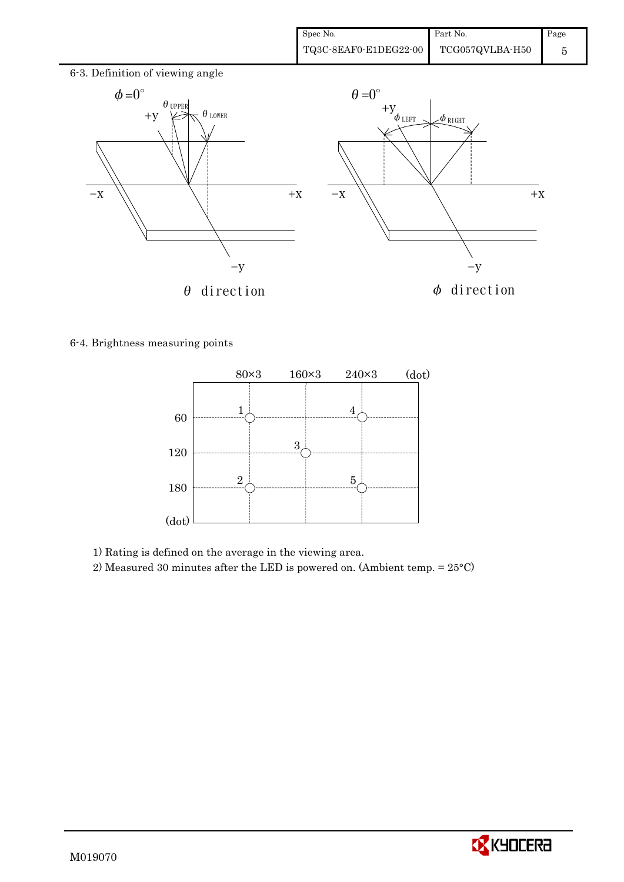

6-4. Brightness measuring points



1) Rating is defined on the average in the viewing area.

2) Measured 30 minutes after the LED is powered on. (Ambient temp. = 25°C)

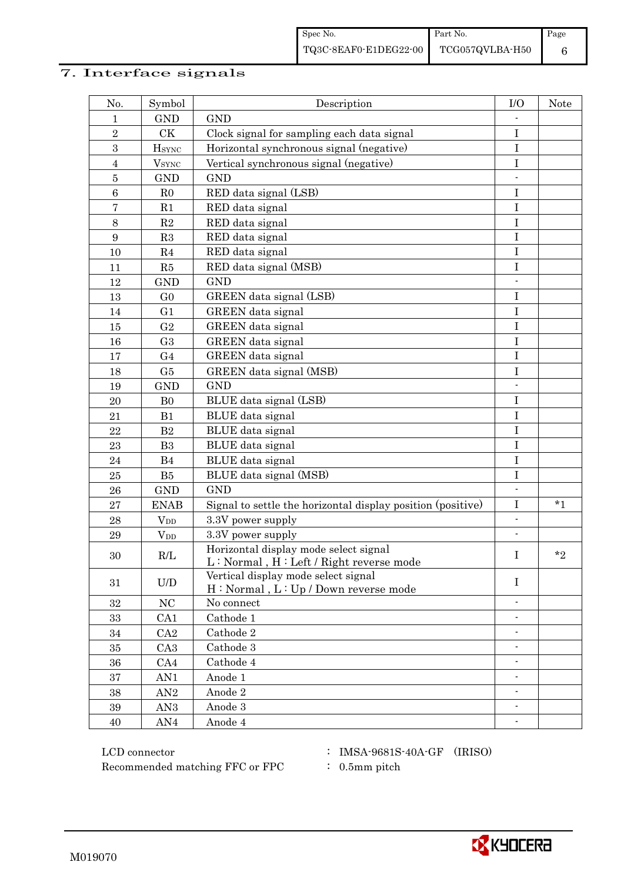# 7. Interface signals

| No.            | Symbol                   | Description                                                                        | I/O                      | <b>Note</b> |
|----------------|--------------------------|------------------------------------------------------------------------------------|--------------------------|-------------|
| 1              | <b>GND</b>               | <b>GND</b>                                                                         |                          |             |
| $\,2$          | CK                       | Clock signal for sampling each data signal                                         | $\bf I$                  |             |
| 3              | <b>H</b> <sub>SYNC</sub> | Horizontal synchronous signal (negative)                                           | $\bf I$                  |             |
| $\overline{4}$ | $V_{\rm SYNC}$           | Vertical synchronous signal (negative)                                             | $\bf I$                  |             |
| $\bf 5$        | <b>GND</b>               | <b>GND</b>                                                                         |                          |             |
| $\,6\,$        | R <sub>0</sub>           | RED data signal (LSB)                                                              | $\mathbf I$              |             |
| 7              | R1                       | RED data signal                                                                    | $\mathbf I$              |             |
| $\,8\,$        | $\mathbf{R}2$            | RED data signal                                                                    | $\bf I$                  |             |
| 9              | R3                       | RED data signal                                                                    | $\bf I$                  |             |
| 10             | R <sub>4</sub>           | RED data signal                                                                    | I                        |             |
| 11             | R5                       | RED data signal (MSB)                                                              | I                        |             |
| 12             | <b>GND</b>               | <b>GND</b>                                                                         |                          |             |
| 13             | G <sub>0</sub>           | GREEN data signal (LSB)                                                            | $\mathbf I$              |             |
| 14             | G1                       | GREEN data signal                                                                  | $\rm I$                  |             |
| 15             | G <sub>2</sub>           | GREEN data signal                                                                  | $\rm I$                  |             |
| 16             | G <sub>3</sub>           | <b>GREEN</b> data signal                                                           | $\rm I$                  |             |
| 17             | G <sub>4</sub>           | GREEN data signal                                                                  | $\mathbf I$              |             |
| 18             | G5                       | GREEN data signal (MSB)                                                            | $\rm I$                  |             |
| 19             | <b>GND</b>               | <b>GND</b>                                                                         | $\overline{a}$           |             |
| 20             | B <sub>0</sub>           | BLUE data signal (LSB)                                                             | $\mathbf I$              |             |
| 21             | B1                       | BLUE data signal                                                                   | $\mathbf I$              |             |
| 22             | B2                       | BLUE data signal                                                                   | $\mathbf I$              |             |
| 23             | B <sub>3</sub>           | BLUE data signal                                                                   | $\mathbf I$              |             |
| 24             | B4                       | BLUE data signal                                                                   | I                        |             |
| $25\,$         | B5                       | BLUE data signal (MSB)                                                             | $\bf I$                  |             |
| 26             | <b>GND</b>               | <b>GND</b>                                                                         |                          |             |
| $\bf 27$       | <b>ENAB</b>              | Signal to settle the horizontal display position (positive)                        | $\rm I$                  | $*_{1}$     |
| 28             | $V_{DD}$                 | 3.3V power supply                                                                  | $\overline{\phantom{a}}$ |             |
| 29             | <b>V</b> <sub>DD</sub>   | 3.3V power supply                                                                  |                          |             |
| 30             | R/L                      | Horizontal display mode select signal<br>$L: Normal, H: Left / Right reverse mode$ | I                        | $*_{2}$     |
| 31             | U/D                      | Vertical display mode select signal<br>H: Normal, L: Up / Down reverse mode        | $\mathbf I$              |             |
| 32             | NC                       | No connect                                                                         |                          |             |
| $33\,$         | CA <sub>1</sub>          | Cathode 1                                                                          | $\overline{\phantom{0}}$ |             |
| 34             | CA2                      | Cathode 2                                                                          | $\overline{\phantom{0}}$ |             |
| 35             | CA <sub>3</sub>          | Cathode 3                                                                          |                          |             |
| 36             | CA4                      | Cathode 4                                                                          | $\overline{\phantom{0}}$ |             |
| 37             | AN1                      | Anode 1                                                                            |                          |             |
| $38\,$         | AN2                      | Anode 2                                                                            | $\overline{\phantom{a}}$ |             |
| $39\,$         | AN <sub>3</sub>          | Anode 3                                                                            | $\overline{\phantom{a}}$ |             |
| $40\,$         | AN4                      | Anode 4                                                                            |                          |             |

 LCD connector : IMSA-9681S-40A-GF (IRISO) Recommended matching FFC or FPC  $\qquad$  : 0.5mm pitch

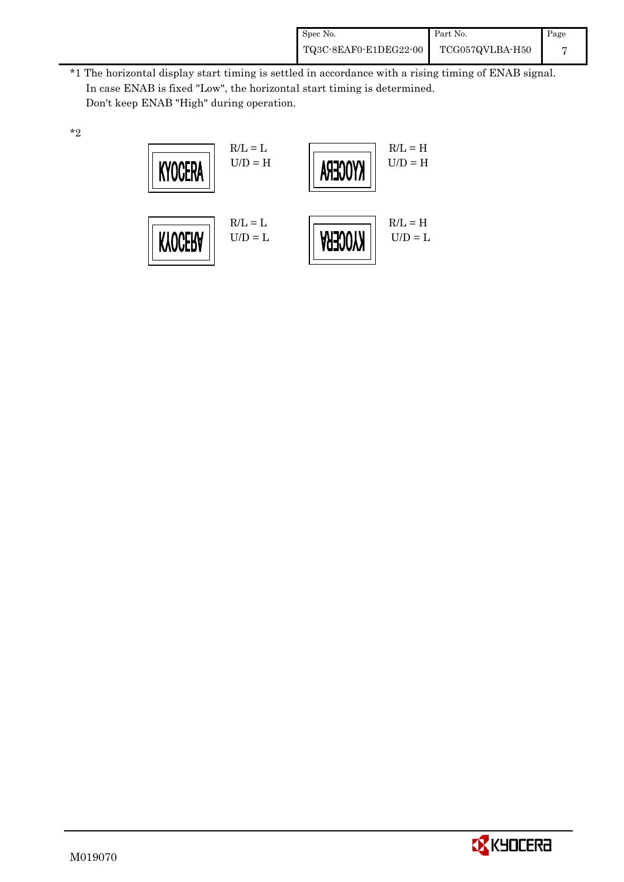| Spec No.              | Part No.        | Page |
|-----------------------|-----------------|------|
| TQ3C-8EAF0-E1DEG22-00 | TCG057QVLBA-H50 |      |

\*1 The horizontal display start timing is settled in accordance with a rising timing of ENAB signal. In case ENAB is fixed "Low", the horizontal start timing is determined. Don't keep ENAB "High" during operation.





\*2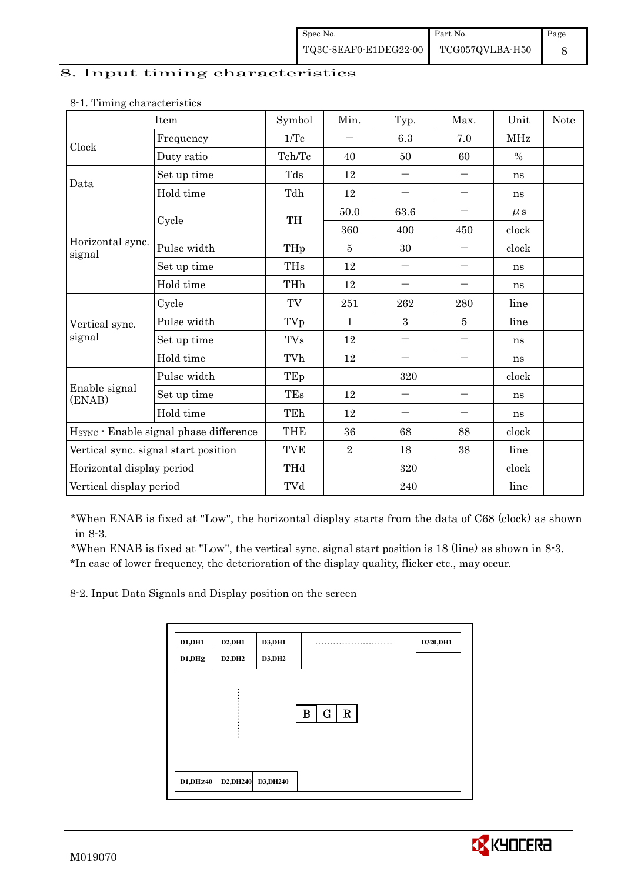#### 8. Input timing characteristics

|                                                                                                   | Item                                   | Symbol                                                                                                                                                                                                                                                                                                                                                                                                                                                                                                                                                                                                                                                                                                                          | Min. | Typ.              | Max.                     | Unit          | <b>Note</b> |
|---------------------------------------------------------------------------------------------------|----------------------------------------|---------------------------------------------------------------------------------------------------------------------------------------------------------------------------------------------------------------------------------------------------------------------------------------------------------------------------------------------------------------------------------------------------------------------------------------------------------------------------------------------------------------------------------------------------------------------------------------------------------------------------------------------------------------------------------------------------------------------------------|------|-------------------|--------------------------|---------------|-------------|
|                                                                                                   | Frequency                              | $1/\mathrm{Tc}$                                                                                                                                                                                                                                                                                                                                                                                                                                                                                                                                                                                                                                                                                                                 |      | 6.3               | 7.0                      | MHz           |             |
|                                                                                                   | Duty ratio                             | Tch/Tc                                                                                                                                                                                                                                                                                                                                                                                                                                                                                                                                                                                                                                                                                                                          | 40   | 50                | 60                       | $\frac{0}{0}$ |             |
|                                                                                                   | Set up time                            | Tds                                                                                                                                                                                                                                                                                                                                                                                                                                                                                                                                                                                                                                                                                                                             | 12   | $\qquad \qquad -$ | $\overline{\phantom{0}}$ | ns            |             |
|                                                                                                   | Hold time                              | Tdh<br>12<br>$\overline{\phantom{0}}$<br>$\qquad \qquad -$<br>ns<br>63.6<br>50.0<br>$\overline{\phantom{0}}$<br>$\mu$ s<br>TH<br>clock<br>360<br>400<br>450<br>clock<br>THp<br>30<br>$\overline{5}$<br><b>THs</b><br>12<br>$\overline{\phantom{m}}$<br>$\qquad \qquad -$<br>ns<br>THh<br>12<br>$\qquad \qquad -$<br>ns<br>TV<br>251<br>262<br>280<br>line<br>3<br>TVp<br>5<br>line<br>$\mathbf 1$<br><b>TVs</b><br>12<br>$\qquad \qquad -$<br>$\overline{\phantom{0}}$<br>ns<br>TVh<br>12<br>$\overline{\phantom{0}}$<br>ns<br>TEp<br>320<br>clock<br>TEs<br>12<br>ns<br>TEh<br>12<br>$\qquad \qquad -$<br>$\qquad \qquad -$<br>ns<br><b>THE</b><br>36<br>68<br>88<br>clock<br><b>TVE</b><br>$\overline{2}$<br>18<br>38<br>line |      |                   |                          |               |             |
|                                                                                                   | Cycle                                  |                                                                                                                                                                                                                                                                                                                                                                                                                                                                                                                                                                                                                                                                                                                                 |      |                   |                          |               |             |
| Horizontal sync.<br>signal                                                                        |                                        |                                                                                                                                                                                                                                                                                                                                                                                                                                                                                                                                                                                                                                                                                                                                 |      |                   |                          |               |             |
|                                                                                                   | Pulse width                            |                                                                                                                                                                                                                                                                                                                                                                                                                                                                                                                                                                                                                                                                                                                                 |      |                   |                          |               |             |
|                                                                                                   | Set up time                            |                                                                                                                                                                                                                                                                                                                                                                                                                                                                                                                                                                                                                                                                                                                                 |      |                   |                          |               |             |
|                                                                                                   | Hold time                              |                                                                                                                                                                                                                                                                                                                                                                                                                                                                                                                                                                                                                                                                                                                                 |      |                   |                          |               |             |
|                                                                                                   | Cycle                                  |                                                                                                                                                                                                                                                                                                                                                                                                                                                                                                                                                                                                                                                                                                                                 |      |                   |                          |               |             |
| Clock<br>Data<br>Vertical sync.<br>signal<br>Enable signal<br>(ENAB)<br>Horizontal display period | Pulse width                            |                                                                                                                                                                                                                                                                                                                                                                                                                                                                                                                                                                                                                                                                                                                                 |      |                   |                          |               |             |
|                                                                                                   | Set up time                            |                                                                                                                                                                                                                                                                                                                                                                                                                                                                                                                                                                                                                                                                                                                                 |      |                   |                          |               |             |
|                                                                                                   | Hold time                              |                                                                                                                                                                                                                                                                                                                                                                                                                                                                                                                                                                                                                                                                                                                                 |      |                   |                          |               |             |
|                                                                                                   | Pulse width                            |                                                                                                                                                                                                                                                                                                                                                                                                                                                                                                                                                                                                                                                                                                                                 |      |                   |                          |               |             |
|                                                                                                   | Set up time                            |                                                                                                                                                                                                                                                                                                                                                                                                                                                                                                                                                                                                                                                                                                                                 |      |                   |                          |               |             |
|                                                                                                   | Hold time                              |                                                                                                                                                                                                                                                                                                                                                                                                                                                                                                                                                                                                                                                                                                                                 |      |                   |                          |               |             |
|                                                                                                   | HSYNC · Enable signal phase difference |                                                                                                                                                                                                                                                                                                                                                                                                                                                                                                                                                                                                                                                                                                                                 |      |                   |                          |               |             |
|                                                                                                   | Vertical sync. signal start position   |                                                                                                                                                                                                                                                                                                                                                                                                                                                                                                                                                                                                                                                                                                                                 |      |                   |                          |               |             |
|                                                                                                   |                                        | THd                                                                                                                                                                                                                                                                                                                                                                                                                                                                                                                                                                                                                                                                                                                             |      | 320               |                          | clock         |             |
| Vertical display period                                                                           |                                        | TVd                                                                                                                                                                                                                                                                                                                                                                                                                                                                                                                                                                                                                                                                                                                             |      | 240               |                          | line          |             |

### 8-1. Timing characteristics

\*When ENAB is fixed at "Low", the horizontal display starts from the data of C68 (clock) as shown in 8-3.

 \*When ENAB is fixed at "Low", the vertical sync. signal start position is 18 (line) as shown in 8-3. \*In case of lower frequency, the deterioration of the display quality, flicker etc., may occur.

8-2. Input Data Signals and Display position on the screen

| D1,DH1  | D2, DH1 | D3, DH1       | . .                             | D320, DH1 |
|---------|---------|---------------|---------------------------------|-----------|
| D1, DH2 | D2, DH2 | <b>D3,DH2</b> |                                 |           |
|         |         |               |                                 |           |
|         |         |               |                                 |           |
|         |         |               | $\mathbf R$<br>$\mathbf G$<br>B |           |
|         |         |               |                                 |           |
|         |         |               |                                 |           |
|         |         |               |                                 |           |
|         |         |               |                                 |           |

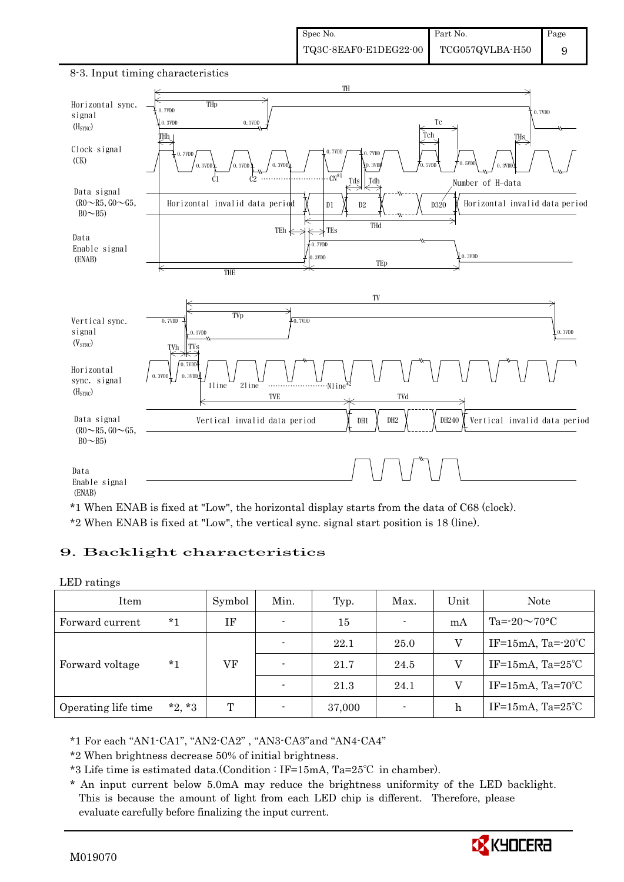

#### 8-3. Input timing characteristics

\*1 When ENAB is fixed at "Low", the horizontal display starts from the data of C68 (clock). \*2 When ENAB is fixed at "Low", the vertical sync. signal start position is 18 (line).

### 9. Backlight characteristics

#### LED ratings

| Item                |          | Symbol | Min.                     | Typ.   | Max.           | Unit | Note                         |
|---------------------|----------|--------|--------------------------|--------|----------------|------|------------------------------|
| Forward current     | *1       | ΙF     | $\overline{\phantom{0}}$ | 15     | $\blacksquare$ | mA   | Ta= $-20 \sim 70$ °C         |
|                     | $*_{1}$  | VF     | $\overline{\phantom{0}}$ | 22.1   | 25.0           | V    | IF=15mA, Ta= $-20^{\circ}$ C |
| Forward voltage     |          |        | $\overline{\phantom{0}}$ | 21.7   | 24.5           | V    | IF=15mA, $Ta=25^{\circ}C$    |
|                     |          |        |                          | 21.3   | 24.1           | V    | IF=15mA, $Ta=70^{\circ}C$    |
| Operating life time | $*2, *3$ | T      |                          | 37,000 | ٠              | h    | IF=15mA, $Ta=25^{\circ}C$    |

\*1 For each "AN1-CA1", "AN2-CA2" , "AN3-CA3"and "AN4-CA4"

\*2 When brightness decrease 50% of initial brightness.

\*3 Life time is estimated data.(Condition : IF=15mA, Ta=25℃ in chamber).

 \* An input current below 5.0mA may reduce the brightness uniformity of the LED backlight. This is because the amount of light from each LED chip is different. Therefore, please evaluate carefully before finalizing the input current.

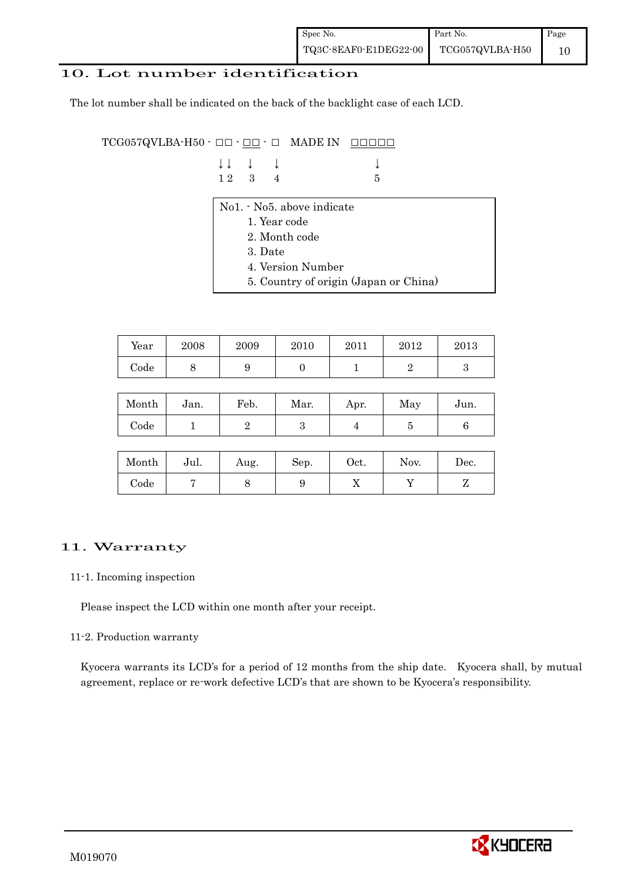### 10. Lot number identification

The lot number shall be indicated on the back of the backlight case of each LCD.

 $TCG057QVLBA-H50 -  $\Box\Box$  -  $\Box\Box$  -  $\Box$  MADE IN  $\Box\Box\Box\Box\Box$$ 

| $\downarrow \downarrow$ $\downarrow$ $\downarrow$ |  |      |
|---------------------------------------------------|--|------|
| 12 3 4                                            |  | $-5$ |

- No1. No5. above indicate
	- 1. Year code
	- 2. Month code
	- 3. Date
	- 4. Version Number
	- 5. Country of origin (Japan or China)

| Year | 2008 | 2009 | 2010 | 2011 | 2012 | 2013 |
|------|------|------|------|------|------|------|
| Code | ◡    |      |      |      |      |      |

| Month | Jan. | Feb. | Mar. | Apr. | May | Jun. |
|-------|------|------|------|------|-----|------|
| Code  |      |      | ౿    |      |     |      |

| Month      | Jul. | Aug. | Sep. | $_{\rm Oct.}$ | Nov. | Dec. |
|------------|------|------|------|---------------|------|------|
| $\rm Code$ |      |      |      | ∡⊾            |      |      |

## 11. Warranty

#### 11-1. Incoming inspection

Please inspect the LCD within one month after your receipt.

#### 11-2. Production warranty

 Kyocera warrants its LCD's for a period of 12 months from the ship date. Kyocera shall, by mutual agreement, replace or re-work defective LCD's that are shown to be Kyocera's responsibility.

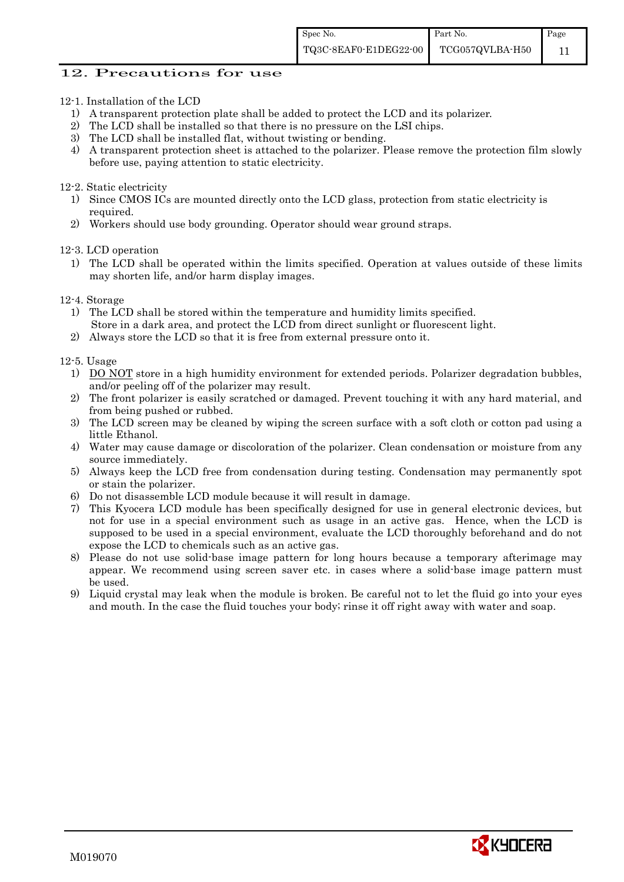#### 12. Precautions for use

- 12-1. Installation of the LCD
	- 1) A transparent protection plate shall be added to protect the LCD and its polarizer.
	- 2) The LCD shall be installed so that there is no pressure on the LSI chips.
	- 3) The LCD shall be installed flat, without twisting or bending.
	- 4) A transparent protection sheet is attached to the polarizer. Please remove the protection film slowly before use, paying attention to static electricity.

#### 12-2. Static electricity

- 1) Since CMOS ICs are mounted directly onto the LCD glass, protection from static electricity is required.
- 2) Workers should use body grounding. Operator should wear ground straps.

12-3. LCD operation

- 1) The LCD shall be operated within the limits specified. Operation at values outside of these limits may shorten life, and/or harm display images.
- 12-4. Storage
	- 1) The LCD shall be stored within the temperature and humidity limits specified. Store in a dark area, and protect the LCD from direct sunlight or fluorescent light.
	- 2) Always store the LCD so that it is free from external pressure onto it.

12-5. Usage

- 1) DO NOT store in a high humidity environment for extended periods. Polarizer degradation bubbles, and/or peeling off of the polarizer may result.
- 2) The front polarizer is easily scratched or damaged. Prevent touching it with any hard material, and from being pushed or rubbed.
- 3) The LCD screen may be cleaned by wiping the screen surface with a soft cloth or cotton pad using a little Ethanol.
- 4) Water may cause damage or discoloration of the polarizer. Clean condensation or moisture from any source immediately.
- 5) Always keep the LCD free from condensation during testing. Condensation may permanently spot or stain the polarizer.
- 6) Do not disassemble LCD module because it will result in damage.
- 7) This Kyocera LCD module has been specifically designed for use in general electronic devices, but not for use in a special environment such as usage in an active gas. Hence, when the LCD is supposed to be used in a special environment, evaluate the LCD thoroughly beforehand and do not expose the LCD to chemicals such as an active gas.
- 8) Please do not use solid-base image pattern for long hours because a temporary afterimage may appear. We recommend using screen saver etc. in cases where a solid-base image pattern must be used.
- 9) Liquid crystal may leak when the module is broken. Be careful not to let the fluid go into your eyes and mouth. In the case the fluid touches your body; rinse it off right away with water and soap.

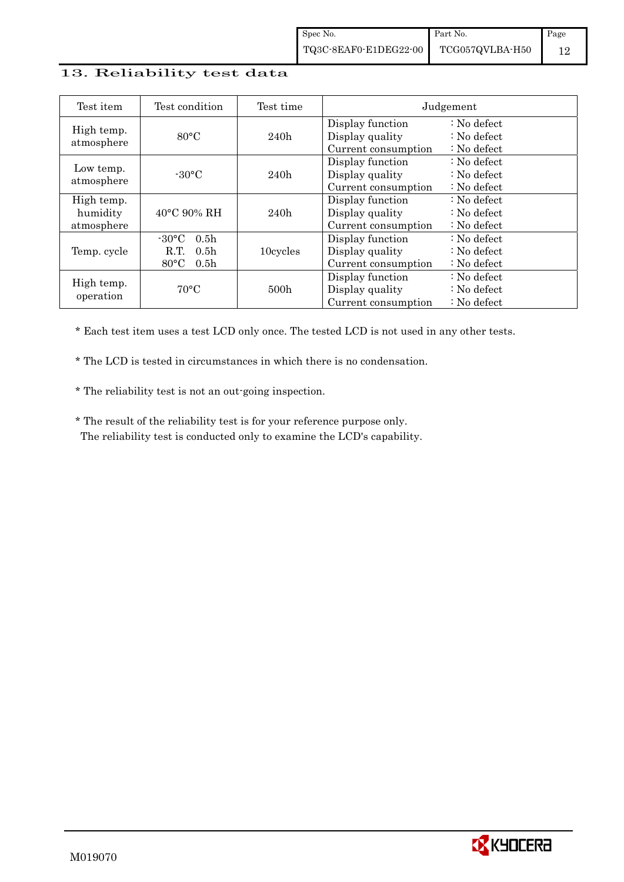### 13. Reliability test data

| Test item                            | Test condition                                                                                        | Test time        |                                                            | Judgement                                                                  |
|--------------------------------------|-------------------------------------------------------------------------------------------------------|------------------|------------------------------------------------------------|----------------------------------------------------------------------------|
| High temp.<br>atmosphere             | $80^{\circ}$ C                                                                                        | 240h             | Display function<br>Display quality<br>Current consumption | $\therefore$ No defect<br>$\therefore$ No defect<br>$\therefore$ No defect |
| Low temp.<br>atmosphere              | $-30^{\circ}$ C                                                                                       | 240h             | Display function<br>Display quality<br>Current consumption | : No defect<br>$\therefore$ No defect<br>$\therefore$ No defect            |
| High temp.<br>humidity<br>atmosphere | $40^{\circ}$ C 90% RH                                                                                 | 240h             | Display function<br>Display quality<br>Current consumption | $\therefore$ No defect<br>$\therefore$ No defect<br>$\therefore$ No defect |
| Temp. cycle                          | 0.5 <sub>h</sub><br>$-30^{\circ}$ C<br>0.5 <sub>h</sub><br>R.T.<br>$80^{\circ}$ C<br>0.5 <sub>h</sub> | 10cycles         | Display function<br>Display quality<br>Current consumption | $\therefore$ No defect<br>$\therefore$ No defect<br>$\therefore$ No defect |
| High temp.<br>operation              | $70^{\circ}$ C                                                                                        | 500 <sub>h</sub> | Display function<br>Display quality<br>Current consumption | : No defect<br>$\therefore$ No defect<br>$\therefore$ No defect            |

\* Each test item uses a test LCD only once. The tested LCD is not used in any other tests.

\* The LCD is tested in circumstances in which there is no condensation.

\* The reliability test is not an out-going inspection.

 \* The result of the reliability test is for your reference purpose only. The reliability test is conducted only to examine the LCD's capability.

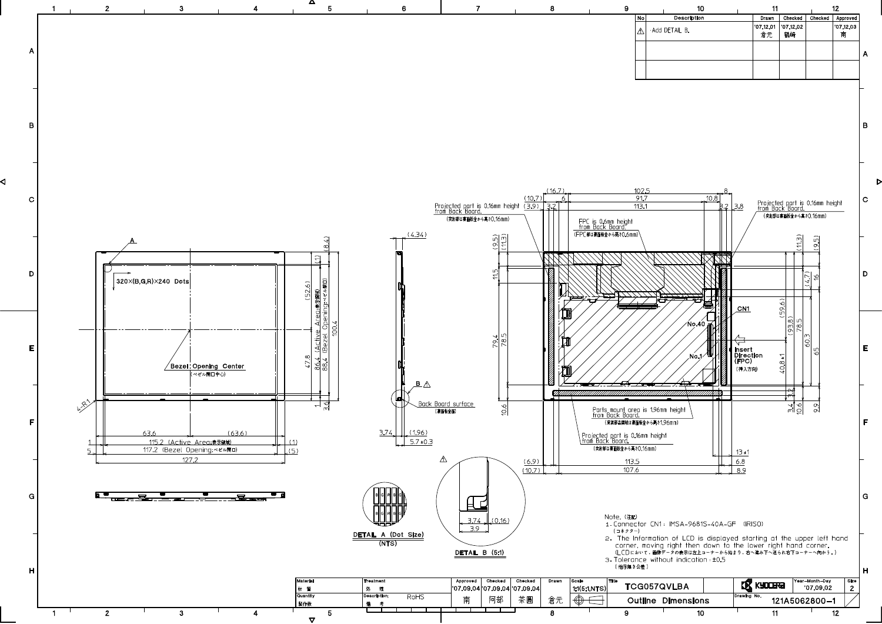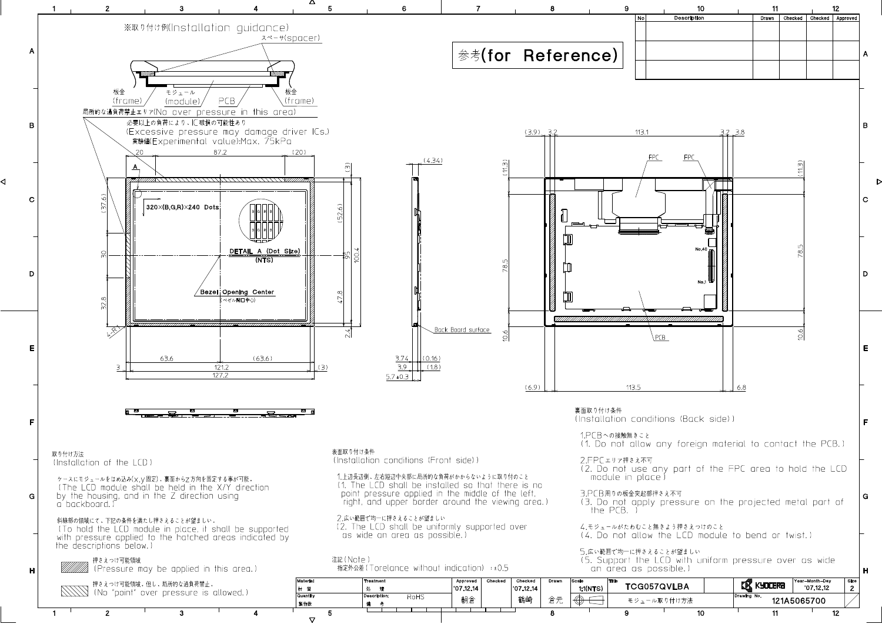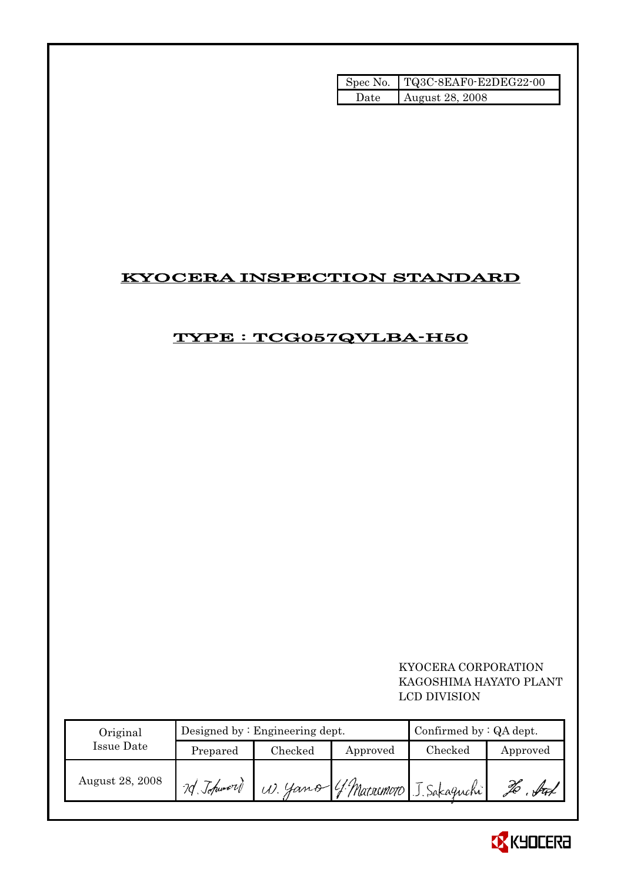|       | Spec No. TQ3C-8EAF0-E2DEG22-00 |
|-------|--------------------------------|
| Date: | August 28, 2008                |

# KYOCERA INSPECTION STANDARD

# TYPE : TCG057QVLBA-H50

 KYOCERA CORPORATION KAGOSHIMA HAYATO PLANT LCD DIVISION

| Original        |             | Designed by $:$ Engineering dept. | Confirmed by: QA dept. |                                     |          |
|-----------------|-------------|-----------------------------------|------------------------|-------------------------------------|----------|
| Issue Date      | Prepared    | Checked                           | Approved               | Checked                             | Approved |
| August 28, 2008 | 7d Johnword |                                   |                        | W. Yamo ( ! Matsumoto J. Sakaguchi) | fran     |

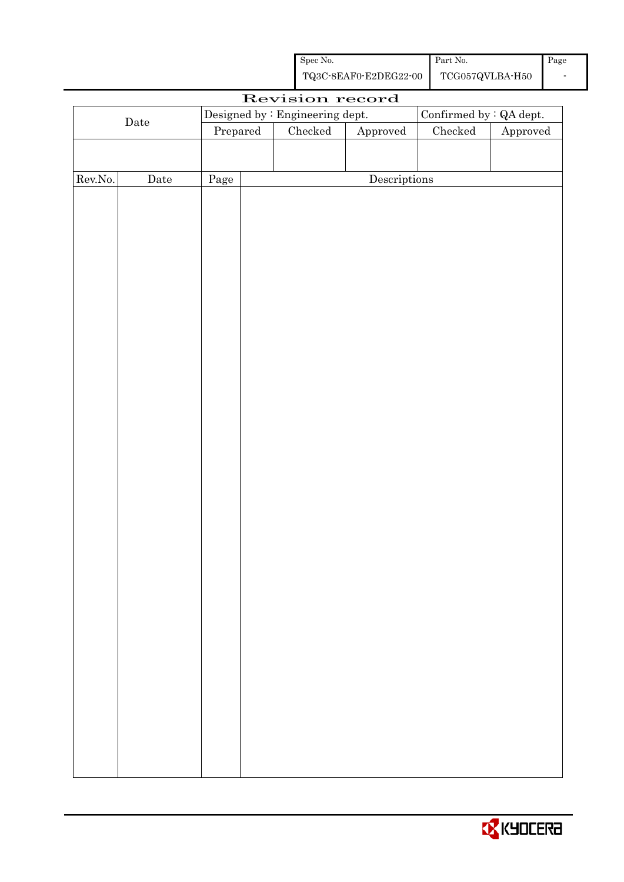| Spec No.              | Part No.        | Page |
|-----------------------|-----------------|------|
| TQ3C-8EAF0-E2DEG22-00 | TCG057QVLBA-H50 |      |

|                      | Revision record<br>Confirmed by : QA dept.<br>Designed by : Engineering dept. |          |  |         |                        |               |          |
|----------------------|-------------------------------------------------------------------------------|----------|--|---------|------------------------|---------------|----------|
| $\rm{\textbf{Date}}$ |                                                                               | Prepared |  | Checked | ${\Large\bf Approved}$ | $\rm Checked$ | Approved |
|                      |                                                                               |          |  |         |                        |               |          |
|                      |                                                                               |          |  |         |                        |               |          |
| Rev.No.              | $\rm{Date}$                                                                   | Page     |  |         | Descriptions           |               |          |
|                      |                                                                               |          |  |         |                        |               |          |
|                      |                                                                               |          |  |         |                        |               |          |
|                      |                                                                               |          |  |         |                        |               |          |
|                      |                                                                               |          |  |         |                        |               |          |
|                      |                                                                               |          |  |         |                        |               |          |
|                      |                                                                               |          |  |         |                        |               |          |
|                      |                                                                               |          |  |         |                        |               |          |
|                      |                                                                               |          |  |         |                        |               |          |
|                      |                                                                               |          |  |         |                        |               |          |
|                      |                                                                               |          |  |         |                        |               |          |
|                      |                                                                               |          |  |         |                        |               |          |
|                      |                                                                               |          |  |         |                        |               |          |
|                      |                                                                               |          |  |         |                        |               |          |
|                      |                                                                               |          |  |         |                        |               |          |
|                      |                                                                               |          |  |         |                        |               |          |
|                      |                                                                               |          |  |         |                        |               |          |
|                      |                                                                               |          |  |         |                        |               |          |
|                      |                                                                               |          |  |         |                        |               |          |
|                      |                                                                               |          |  |         |                        |               |          |
|                      |                                                                               |          |  |         |                        |               |          |
|                      |                                                                               |          |  |         |                        |               |          |
|                      |                                                                               |          |  |         |                        |               |          |
|                      |                                                                               |          |  |         |                        |               |          |
|                      |                                                                               |          |  |         |                        |               |          |
|                      |                                                                               |          |  |         |                        |               |          |
|                      |                                                                               |          |  |         |                        |               |          |
|                      |                                                                               |          |  |         |                        |               |          |
|                      |                                                                               |          |  |         |                        |               |          |
|                      |                                                                               |          |  |         |                        |               |          |
|                      |                                                                               |          |  |         |                        |               |          |
|                      |                                                                               |          |  |         |                        |               |          |
|                      |                                                                               |          |  |         |                        |               |          |
|                      |                                                                               |          |  |         |                        |               |          |
|                      |                                                                               |          |  |         |                        |               |          |
|                      |                                                                               |          |  |         |                        |               |          |
|                      |                                                                               |          |  |         |                        |               |          |

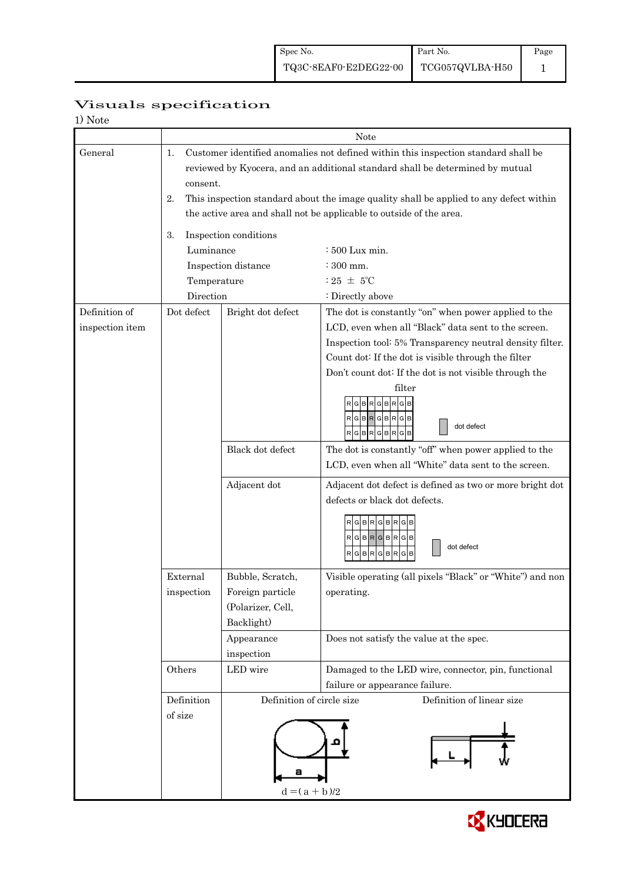| Visuals specification |
|-----------------------|
|-----------------------|

| 1) Note         |                        |                                                                                                                                                                                                                                                                                                                                      |                                                                                                                                                                                                                                                                                                                                                                                                                                                                                                                                                                                                                       |  |  |  |
|-----------------|------------------------|--------------------------------------------------------------------------------------------------------------------------------------------------------------------------------------------------------------------------------------------------------------------------------------------------------------------------------------|-----------------------------------------------------------------------------------------------------------------------------------------------------------------------------------------------------------------------------------------------------------------------------------------------------------------------------------------------------------------------------------------------------------------------------------------------------------------------------------------------------------------------------------------------------------------------------------------------------------------------|--|--|--|
|                 | Note                   |                                                                                                                                                                                                                                                                                                                                      |                                                                                                                                                                                                                                                                                                                                                                                                                                                                                                                                                                                                                       |  |  |  |
| General         | 1.<br>consent.<br>2.   | Customer identified anomalies not defined within this inspection standard shall be<br>reviewed by Kyocera, and an additional standard shall be determined by mutual<br>This inspection standard about the image quality shall be applied to any defect within<br>the active area and shall not be applicable to outside of the area. |                                                                                                                                                                                                                                                                                                                                                                                                                                                                                                                                                                                                                       |  |  |  |
|                 |                        |                                                                                                                                                                                                                                                                                                                                      |                                                                                                                                                                                                                                                                                                                                                                                                                                                                                                                                                                                                                       |  |  |  |
|                 | 3.<br>Luminance        | Inspection conditions                                                                                                                                                                                                                                                                                                                | $\div 500$ Lux min.                                                                                                                                                                                                                                                                                                                                                                                                                                                                                                                                                                                                   |  |  |  |
|                 |                        | Inspection distance                                                                                                                                                                                                                                                                                                                  | : 300 mm.                                                                                                                                                                                                                                                                                                                                                                                                                                                                                                                                                                                                             |  |  |  |
|                 | Temperature            |                                                                                                                                                                                                                                                                                                                                      | : 25 $\pm$ 5°C                                                                                                                                                                                                                                                                                                                                                                                                                                                                                                                                                                                                        |  |  |  |
|                 | Direction              |                                                                                                                                                                                                                                                                                                                                      | : Directly above                                                                                                                                                                                                                                                                                                                                                                                                                                                                                                                                                                                                      |  |  |  |
| Definition of   | Dot defect             | Bright dot defect                                                                                                                                                                                                                                                                                                                    | The dot is constantly "on" when power applied to the                                                                                                                                                                                                                                                                                                                                                                                                                                                                                                                                                                  |  |  |  |
| inspection item |                        | Black dot defect<br>Adjacent dot                                                                                                                                                                                                                                                                                                     | LCD, even when all "Black" data sent to the screen.<br>Inspection tool: 5% Transparency neutral density filter.<br>Count dot: If the dot is visible through the filter<br>Don't count dot: If the dot is not visible through the<br>filter<br>в<br>R<br>G<br>RGBRGBRG<br>dot defect<br>$\mathsf{R}[\mathsf{G}]\mathsf{B}[\mathsf{R}]\mathsf{G}[\mathsf{B}]\mathsf{R}[\mathsf{G}]\mathsf{B}$<br>The dot is constantly "off" when power applied to the<br>LCD, even when all "White" data sent to the screen.<br>Adjacent dot defect is defined as two or more bright dot<br>defects or black dot defects.<br>RGBRGBRGB |  |  |  |
|                 |                        |                                                                                                                                                                                                                                                                                                                                      | RGBRGBRGB<br>dot defect<br>RGBRGBR<br>G                                                                                                                                                                                                                                                                                                                                                                                                                                                                                                                                                                               |  |  |  |
|                 | External<br>inspection | Bubble, Scratch,<br>Foreign particle<br>(Polarizer, Cell,<br>Backlight)<br>Appearance<br>inspection                                                                                                                                                                                                                                  | Visible operating (all pixels "Black" or "White") and non<br>operating.<br>Does not satisfy the value at the spec.                                                                                                                                                                                                                                                                                                                                                                                                                                                                                                    |  |  |  |
|                 | Others                 | LED wire                                                                                                                                                                                                                                                                                                                             | Damaged to the LED wire, connector, pin, functional                                                                                                                                                                                                                                                                                                                                                                                                                                                                                                                                                                   |  |  |  |
|                 | Definition<br>of size  | failure or appearance failure.<br>Definition of circle size<br>Definition of linear size<br>$d = (a + b)/2$                                                                                                                                                                                                                          |                                                                                                                                                                                                                                                                                                                                                                                                                                                                                                                                                                                                                       |  |  |  |